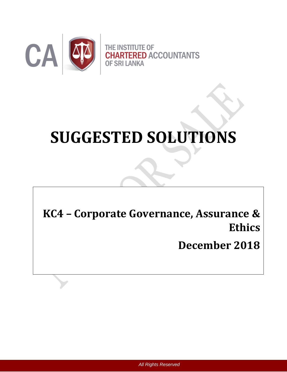

# **SUGGESTED SOLUTIONS**

**KC4 – Corporate Governance, Assurance & Ethics**

**December 2018**

*All Rights Reserved*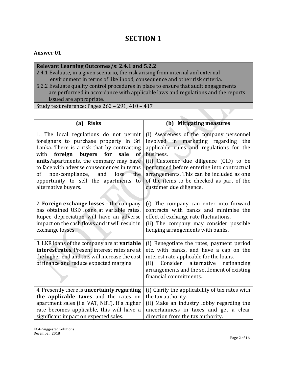# **SECTION 1**

# **Answer 01**

# **Relevant Learning Outcomes/s: 2.4.1 and 5.2.2**

- 2.4.1 Evaluate, in a given scenario, the risk arising from internal and external environment in terms of likelihood, consequence and other risk criteria.
- 5.2.2 Evaluate quality control procedures in place to ensure that audit engagements are performed in accordance with applicable laws and regulations and the reports issued are appropriate.

Study text reference: Pages 262 – 291, 410 – 417

| (a) Risks                                                                                                                                                                                                                                                                                                                                                                                                    | (b) Mitigating measures                                                                                                                                                                                                                                                                                                                              |
|--------------------------------------------------------------------------------------------------------------------------------------------------------------------------------------------------------------------------------------------------------------------------------------------------------------------------------------------------------------------------------------------------------------|------------------------------------------------------------------------------------------------------------------------------------------------------------------------------------------------------------------------------------------------------------------------------------------------------------------------------------------------------|
| 1. The local regulations do not permit<br>foreigners to purchase property in Sri<br>Lanka. There is a risk that by contracting<br>foreign<br>buyers<br>for<br>with<br>sale<br><b>of</b><br>units/apartments, the company may have<br>to face with adverse consequences in terms<br>non-compliance,<br>and<br>$lose-$<br><sub>of</sub><br>the<br>opportunity to sell the apartments to<br>alternative buyers. | (i) Awareness of the company personnel<br>involved in marketing regarding the<br>applicable rules and regulations for the<br>business.<br>(ii) Customer due diligence (CID) to be<br>performed before entering into contractual<br>arrangements. This can be included as one<br>of the items to be checked as part of the<br>customer due diligence. |
| 2. Foreign exchange losses - the company<br>has obtained USD loans at variable rates.<br>Rupee depreciation will have an adverse<br>impact on the cash flows and it will result in<br>exchange losses.                                                                                                                                                                                                       | (i) The company can enter into forward<br>contracts with banks and minimise the<br>effect of exchange rate fluctuations.<br>(ii) The company may consider possible<br>hedging arrangements with banks.                                                                                                                                               |
| 3. LKR loans of the company are at <b>variable</b><br>interest rates. Present interest rates are at<br>the higher end and this will increase the cost<br>of finance and reduce expected margins.                                                                                                                                                                                                             | (i) Renegotiate the rates, payment period<br>etc. with banks, and have a cap on the<br>interest rate applicable for the loans.<br>(ii)<br>Consider<br>alternative<br>refinancing<br>arrangements and the settlement of existing<br>financial commitments.                                                                                            |
| 4. Presently there is uncertainty regarding<br>the applicable taxes and the rates on<br>apartment sales (i.e. VAT, NBT). If a higher<br>rate becomes applicable, this will have a<br>significant impact on expected sales.                                                                                                                                                                                   | (i) Clarify the applicability of tax rates with<br>the tax authority.<br>(ii) Make an industry lobby regarding the<br>uncertainness in taxes and get a clear<br>direction from the tax authority.                                                                                                                                                    |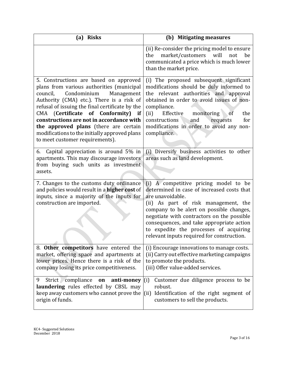| <b>Risks</b><br>(a)                                                                                                                                                                                                                                                                                                                                                                                                                         | (b) Mitigating measures                                                                                                                                                                                                                                                                                                                                                        |
|---------------------------------------------------------------------------------------------------------------------------------------------------------------------------------------------------------------------------------------------------------------------------------------------------------------------------------------------------------------------------------------------------------------------------------------------|--------------------------------------------------------------------------------------------------------------------------------------------------------------------------------------------------------------------------------------------------------------------------------------------------------------------------------------------------------------------------------|
|                                                                                                                                                                                                                                                                                                                                                                                                                                             | (ii) Re-consider the pricing model to ensure<br>market/customers<br>will<br>the<br>not<br>be<br>communicated a price which is much lower<br>than the market price.                                                                                                                                                                                                             |
| 5. Constructions are based on approved<br>plans from various authorities (municipal<br>Condominium<br>Management<br>council,<br>Authority (CMA) etc.). There is a risk of<br>refusal of issuing the final certificate by the<br>CMA (Certificate of Conformity) if<br>constructions are not in accordance with<br>the approved plans (there are certain<br>modifications to the initially approved plans<br>to meet customer requirements). | (i) The proposed subsequent significant<br>modifications should be duly informed to<br>the relevant authorities and approval<br>obtained in order to avoid issues of non-<br>compliance.<br>Effective<br>monitoring of<br>(ii)<br>the<br>constructions<br>for<br>and<br>requests<br>modifications in order to avoid any non-<br>compliance.                                    |
| Capital appreciation is around 5% in<br>6.<br>apartments. This may discourage investors<br>from buying such units as investment<br>assets.                                                                                                                                                                                                                                                                                                  | (i) Diversify business activities to other<br>areas such as land development.                                                                                                                                                                                                                                                                                                  |
| 7. Changes to the customs duty ordinance<br>and policies would result in a higher cost of<br>inputs, since a majority of the inputs for<br>construction are imported.                                                                                                                                                                                                                                                                       | (i) A competitive pricing model to be<br>determined in case of increased costs that<br>are unavoidable.<br>(ii) As part of risk management, the<br>company to be alert on possible changes,<br>negotiate with contractors on the possible<br>consequences, and take appropriate action<br>to expedite the processes of acquiring<br>relevant inputs required for construction. |
| 8. Other competitors have entered the<br>market, offering space and apartments at<br>lower prices. Hence there is a risk of the<br>company losing its price competitiveness.                                                                                                                                                                                                                                                                | (i) Encourage innovations to manage costs.<br>(ii) Carry out effective marketing campaigns<br>to promote the products.<br>(iii) Offer value-added services.                                                                                                                                                                                                                    |
| Strict compliance<br>9<br>anti-money<br>on<br>laundering rules effected by CBSL may<br>keep away customers who cannot prove the<br>origin of funds.                                                                                                                                                                                                                                                                                         | Customer due diligence process to be<br>(i)<br>robust.<br>Identification of the right segment of<br>(ii)<br>customers to sell the products.                                                                                                                                                                                                                                    |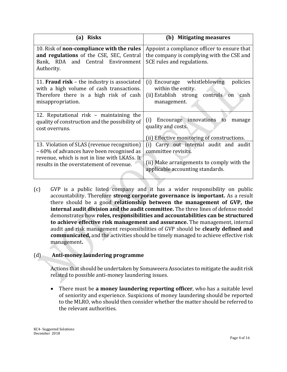| <b>Risks</b><br>(a)                                                                                                                                                                 | <b>Mitigating measures</b><br>(b)                                                                                                              |
|-------------------------------------------------------------------------------------------------------------------------------------------------------------------------------------|------------------------------------------------------------------------------------------------------------------------------------------------|
| 10. Risk of non-compliance with the rules<br>and regulations of the CSE, SEC, Central<br>Bank, RDA and Central Environment<br>Authority.                                            | Appoint a compliance officer to ensure that<br>the company is complying with the CSE and<br>SCE rules and regulations.                         |
| 11. <b>Fraud risk</b> – the industry is associated<br>with a high volume of cash transactions.<br>Therefore there is a high risk of cash<br>misappropriation.                       | whistleblowing<br>policies<br>(i) Encourage<br>within the entity.<br>(ii) Establish strong controls<br>on cash<br>management.                  |
| 12. Reputational risk – maintaining the<br>quality of construction and the possibility of<br>cost overruns.                                                                         | Encourage innovations to<br>(i)<br>manage<br>quality and costs.<br>(ii) Effective monitoring of constructions.                                 |
| 13. Violation of SLAS (revenue recognition)<br>-60% of advances have been recognised as<br>revenue, which is not in line with LKASs. It<br>results in the overstatement of revenue. | (i) Carry out internal audit and audit<br>committee revisits.<br>(ii) Make arrangements to comply with the<br>applicable accounting standards. |

(c) GVP is a public listed company and it has a wider responsibility on public accountability. Therefore **strong corporate governance is important.** As a result there should be a good **relationship between the management of GVP, the internal audit division and the audit committee.** The three lines of defense model demonstrates how **roles, responsibilities and accountabilities can be structured to achieve effective risk management and assurance.** The management, internal audit and risk management responsibilities of GVP should be **clearly defined and communicated,** and the activities should be timely managed to achieve effective risk management**.**

# (d) **Anti-money laundering programme**

Actions that should be undertaken by Somaweera Associates to mitigate the audit risk related to possible anti-money laundering issues.

 There must be **a money laundering reporting officer**, who has a suitable level of seniority and experience. Suspicions of money laundering should be reported to the MLRO, who should then consider whether the matter should be referred to the relevant authorities.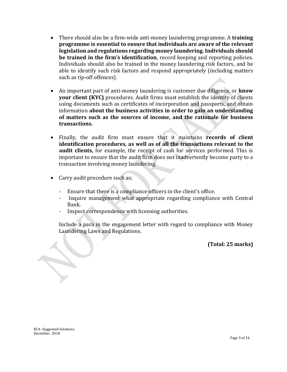- There should also be a firm-wide anti-money laundering programme. A **training programme is essential to ensure that individuals are aware of the relevant legislation and regulations regarding money laundering. Individuals should be trained in the firm's identification**, record keeping and reporting policies. Individuals should also be trained in the money laundering risk factors, and be able to identify such risk factors and respond appropriately (including matters such as tip-off offences).
- An important part of anti-money laundering is customer due diligence, or **know your client (KYC)** procedures. Audit firms must establish the identity of clients using documents such as certificates of incorporation and passports, and obtain information **about the business activities in order to gain an understanding of matters such as the sources of income, and the rationale for business transactions.**
- Finally, the audit firm must ensure that it maintains **records of client identification procedures, as well as of all the transactions relevant to the audit clients,** for example, the receipt of cash for services performed. This is important to ensure that the audit firm does not inadvertently become party to a transaction involving money laundering.
- Carry audit procedure such as;
	- Ensure that there is a compliance officers in the client's office.
	- Inquire management what appropriate regarding compliance with Central Bank.
	- Inspect correspondence with licensing authorities.

Include a para in the engagement letter with regard to compliance with Money Laundering Laws and Regulations.

**(Total: 25 marks)**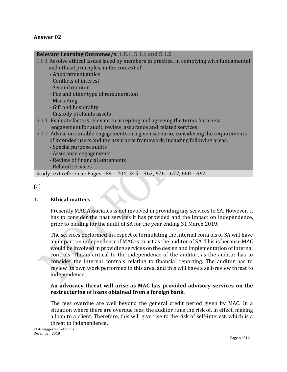#### **Answer 02**

#### **Relevant Learning Outcomes/s: 1.8.1, 5.1.1 and 5.1.2**

- 1.8.1 Resolve ethical issues faced by members in practice, in complying with fundamental and ethical principles, in the context of:
	- Appointment ethics
	- Conflicts of interest
	- Second opinion
	- Fee and other type of remuneration
	- Marketing
	- Gift and hospitality
	- Custody of clients assets
- 5.1.1 Evaluate factors relevant in accepting and agreeing the terms for a new engagement for audit, review, assurance and related services
- 5.1.2 Advise on suitable engagements in a given scenario, considering the requirements of intended users and the assurance framework, including following areas:
	- Special purpose audits
	- Assurance engagements
	- Review of financial statements
	- Related services

Study text reference: Pages 189 – 204, 345 – 362, 676 – 677, 660 – 662

(a)

#### 1**. Ethical matters**

Presently MAC Associates is not involved in providing any services to SA. However, it has to consider the past services it has provided and the impact on independence, prior to bidding for the audit of SA for the year ending 31 March 2019.

The services performed in respect of formulating the internal controls of SA will have an impact on independence if MAC is to act as the auditor of SA. This is because MAC would be involved in providing services on the design and implementation of internal controls. This is critical to the independence of the auditor, as the auditor has to consider the internal controls relating to financial reporting. The auditor has to review its own work performed in this area, and this will have a self-review threat to independence.

#### **An advocacy threat will arise as MAC has provided advisory services on the restructuring of loans obtained from a foreign bank**.

The fees overdue are well beyond the general credit period given by MAC. In a situation where there are overdue fees, the auditor runs the risk of, in effect, making a loan to a client. Therefore, this will give rise to the risk of self-interest, which is a threat to independence**.**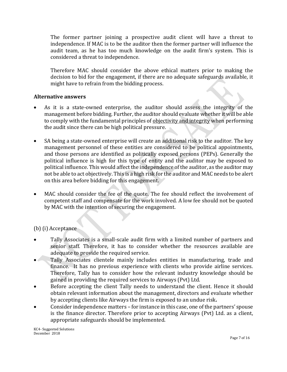The former partner joining a prospective audit client will have a threat to independence. If MAC is to be the auditor then the former partner will influence the audit team, as he has too much knowledge on the audit firm's system. This is considered a threat to independence.

Therefore MAC should consider the above ethical matters prior to making the decision to bid for the engagement, if there are no adequate safeguards available, it might have to refrain from the bidding process.

#### **Alternative answers**

- As it is a state-owned enterprise, the auditor should assess the integrity of the management before bidding. Further, the auditor should evaluate whether it will be able to comply with the fundamental principles of objectivity and integrity when performing the audit since there can be high political pressure.
- SA being a state-owned enterprise will create an additional risk to the auditor. The key management personnel of these entities are considered to be political appointments, and those persons are identified as politically exposed persons (PEPs). Generally the political influence is high for this type of entity and the auditor may be exposed to political influence. This would affect the independence of the auditor, as the auditor may not be able to act objectively. This is a high risk for the auditor and MAC needs to be alert on this area before bidding for this engagement.
- MAC should consider the fee of the quote. The fee should reflect the involvement of competent staff and compensate for the work involved. A low fee should not be quoted by MAC with the intention of securing the engagement.

# (b) (i) Acceptance

- Tally Associates is a small-scale audit firm with a limited number of partners and senior staff. Therefore, it has to consider whether the resources available are adequate to provide the required service.
- Tally Associates clientele mainly includes entities in manufacturing, trade and finance. It has no previous experience with clients who provide airline services. Therefore, Tally has to consider how the relevant industry knowledge should be gained in providing the required services to Airways (Pvt) Ltd.
- Before accepting the client Tally needs to understand the client. Hence it should obtain relevant information about the management, directors and evaluate whether by accepting clients like Airways the firm is exposed to an undue risk**.**
- Consider independence matters for instance in this case, one of the partners' spouse is the finance director. Therefore prior to accepting Airways (Pvt) Ltd. as a client, appropriate safeguards should be implemented.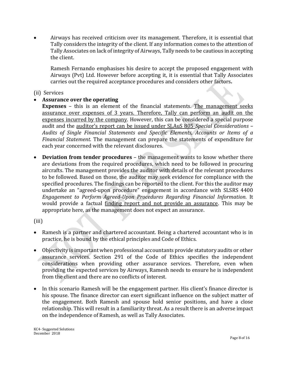Airways has received criticism over its management. Therefore, it is essential that Tally considers the integrity of the client. If any information comes to the attention of Tally Associates on lack of integrity of Airways, Tally needs to be cautious in accepting the client.

Ramesh Fernando emphasises his desire to accept the proposed engagement with Airways (Pvt) Ltd. However before accepting it, it is essential that Tally Associates carries out the required acceptance procedures and considers other factors**.**

#### (ii) Services

#### **Assurance over the operating**

**Expenses** – this is an element of the financial statements. The management seeks assurance over expenses of 3 years. Therefore, Tally can perform an audit on the expenses incurred by the company. However, this can be considered a special purpose audit and the auditor's report can be issued under SLAuS 805 *Special Considerations – Audits of Single Financial Statements and Specific Elements, Accounts or Items of a Financial Statement*. The management can prepare the statements of expenditure for each year concerned with the relevant disclosures.

 **Deviation from tender procedures** – the management wants to know whether there are deviations from the required procedures, which need to be followed in procuring aircrafts. The management provides the auditor with details of the relevant procedures to be followed. Based on those, the auditor may seek evidence for compliance with the specified procedures. The findings can be reported to the client. For this the auditor may undertake an "agreed-upon procedure" engagement in accordance with SLSRS 4400 *Engagement to Perform Agreed-Upon Procedures Regarding Financial Information*. It would provide a factual finding report and not provide an assurance. This may be appropriate here, as the management does not expect an assurance.

(iii)

- Ramesh is a partner and chartered accountant. Being a chartered accountant who is in practice, he is bound by the ethical principles and Code of Ethics.
- Objectivity is important when professional accountants provide statutory audits or other assurance services. Section 291 of the Code of Ethics specifies the independent considerations when providing other assurance services. Therefore, even when providing the expected services by Airways, Ramesh needs to ensure he is independent from the client and there are no conflicts of interest.
- In this scenario Ramesh will be the engagement partner. His client's finance director is his spouse. The finance director can exert significant influence on the subject matter of the engagement. Both Ramesh and spouse hold senior positions, and have a close relationship. This will result in a familiarity threat. As a result there is an adverse impact on the independence of Ramesh, as well as Tally Associates.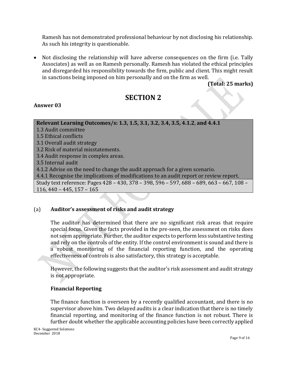Ramesh has not demonstrated professional behaviour by not disclosing his relationship. As such his integrity is questionable.

• Not disclosing the relationship will have adverse consequences on the firm (i.e. Tally Associates) as well as on Ramesh personally. Ramesh has violated the ethical principles and disregarded his responsibility towards the firm, public and client. This might result in sanctions being imposed on him personally and on the firm as well.

# **(Total: 25 marks)**

# **SECTION 2**

# **Answer 03**

# **Relevant Learning Outcomes/s: 1.3, 1.5, 3.1, 3.2, 3.4, 3.5, 4.1.2**, **and 4.4.1**

- 1.3 Audit committee
- 1.5 Ethical conflicts
- 3.1 Overall audit strategy
- 3.2 Risk of material misstatements.
- 3.4 Audit response in complex areas.

3.5 Internal audit

4.1.2 Advise on the need to change the audit approach for a given scenario.

4.4.1 Recognise the implications of modifications to an audit report or review report.

Study text reference: Pages 428 – 430, 378 – 398, 596 – 597, 688 – 689, 663 – 667, 108 – 116, 440 – 445, 157 – 165

# (a) **Auditor's assessment of risks and audit strategy**

The auditor has determined that there are no significant risk areas that require special focus. Given the facts provided in the pre-seen, the assessment on risks does not seem appropriate. Further, the auditor expects to perform less substantive testing and rely on the controls of the entity. If the control environment is sound and there is a robust monitoring of the financial reporting function, and the operating effectiveness of controls is also satisfactory, this strategy is acceptable.

However, the following suggests that the auditor's risk assessment and audit strategy is not appropriate.

# **Financial Reporting**

The finance function is overseen by a recently qualified accountant, and there is no supervisor above him. Two delayed audits is a clear indication that there is no timely financial reporting, and monitoring of the finance function is not robust. There is further doubt whether the applicable accounting policies have been correctly applied

KC4- Suggested Solutions December 2018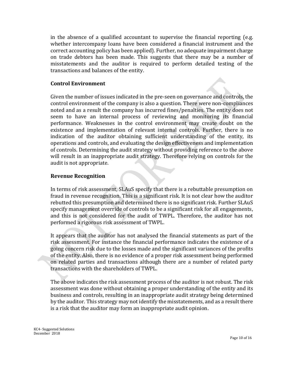in the absence of a qualified accountant to supervise the financial reporting (e.g. whether intercompany loans have been considered a financial instrument and the correct accounting policy has been applied). Further, no adequate impairment charge on trade debtors has been made. This suggests that there may be a number of misstatements and the auditor is required to perform detailed testing of the transactions and balances of the entity.

#### **Control Environment**

Given the number of issues indicated in the pre-seen on governance and controls, the control environment of the company is also a question. There were non-compliances noted and as a result the company has incurred fines/penalties. The entity does not seem to have an internal process of reviewing and monitoring its financial performance. Weaknesses in the control environment may create doubt on the existence and implementation of relevant internal controls. Further, there is no indication of the auditor obtaining sufficient understanding of the entity, its operations and controls, and evaluating the design effectiveness and implementation of controls. Determining the audit strategy without providing reference to the above will result in an inappropriate audit strategy. Therefore relying on controls for the audit is not appropriate.

#### **Revenue Recognition**

In terms of risk assessment, SLAuS specify that there is a rebuttable presumption on fraud in revenue recognition. This is a significant risk. It is not clear how the auditor rebutted this presumption and determined there is no significant risk. Further SLAuS specify management override of controls to be a significant risk for all engagements, and this is not considered for the audit of TWPL. Therefore, the auditor has not performed a rigorous risk assessment of TWPL.

It appears that the auditor has not analysed the financial statements as part of the risk assessment. For instance the financial performance indicates the existence of a going concern risk due to the losses made and the significant variances of the profits of the entity. Also, there is no evidence of a proper risk assessment being performed on related parties and transactions although there are a number of related party transactions with the shareholders of TWPL.

The above indicates the risk assessment process of the auditor is not robust. The risk assessment was done without obtaining a proper understanding of the entity and its business and controls, resulting in an inappropriate audit strategy being determined by the auditor. This strategy may not identify the misstatements, and as a result there is a risk that the auditor may form an inappropriate audit opinion.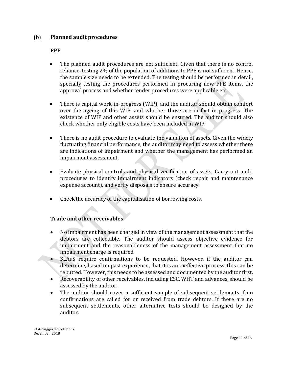#### (b) **Planned audit procedures**

#### **PPE**

- The planned audit procedures are not sufficient. Given that there is no control reliance, testing 2% of the population of additions to PPE is not sufficient. Hence, the sample size needs to be extended. The testing should be performed in detail, specially testing the procedures performed in procuring new PPE items, the approval process and whether tender procedures were applicable etc.
- There is capital work-in-progress (WIP), and the auditor should obtain comfort over the ageing of this WIP, and whether those are in fact in progress. The existence of WIP and other assets should be ensured. The auditor should also check whether only eligible costs have been included in WIP.
- There is no audit procedure to evaluate the valuation of assets. Given the widely fluctuating financial performance, the auditor may need to assess whether there are indications of impairment and whether the management has performed an impairment assessment.
- Evaluate physical controls and physical verification of assets. Carry out audit procedures to identify impairment indicators (check repair and maintenance expense account), and verify disposals to ensure accuracy.
- Check the accuracy of the capitalisation of borrowing costs.

# **Trade and other receivables**

- No impairment has been charged in view of the management assessment that the debtors are collectable. The auditor should assess objective evidence for impairment and the reasonableness of the management assessment that no impairment charge is required.
- SLAuS require confirmations to be requested. However, if the auditor can determine, based on past experience, that it is an ineffective process, this can be rebutted. However, this needs to be assessed and documented by the auditor first.
- Recoverability of other receivables, including ESC, WHT and advances, should be assessed by the auditor.
- The auditor should cover a sufficient sample of subsequent settlements if no confirmations are called for or received from trade debtors. If there are no subsequent settlements, other alternative tests should be designed by the auditor.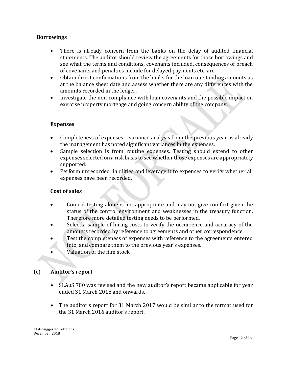#### **Borrowings**

- There is already concern from the banks on the delay of audited financial statements. The auditor should review the agreements for those borrowings and see what the terms and conditions, covenants included, consequences of breach of covenants and penalties include for delayed payments etc. are.
- Obtain direct confirmations from the banks for the loan outstanding amounts as at the balance sheet date and assess whether there are any differences with the amounts recorded in the ledger.
- Investigate the non-compliance with loan covenants and the possible impact on exercise property mortgage and going concern ability of the company.

#### **Expenses**

- Completeness of expenses variance analysis from the previous year as already the management has noted significant variances in the expenses.
- Sample selection is from routine expenses. Testing should extend to other expenses selected on a risk basis to see whether those expenses are appropriately supported.
- Perform unrecorded liabilities and leverage it to expenses to verify whether all expenses have been recorded.

#### **Cost of sales**

- Control testing alone is not appropriate and may not give comfort given the status of the control environment and weaknesses in the treasury function. Therefore more detailed testing needs to be performed.
- Select a sample of hiring costs to verify the occurrence and accuracy of the amounts recorded by reference to agreements and other correspondence.
- Test the completeness of expenses with reference to the agreements entered into, and compare them to the previous year's expenses.
- Valuation of the film stock.

# (c) **Auditor's report**

- SLAuS 700 was revised and the new auditor's report became applicable for year ended 31 March 2018 and onwards.
- The auditor's report for 31 March 2017 would be similar to the format used for the 31 March 2016 auditor's report.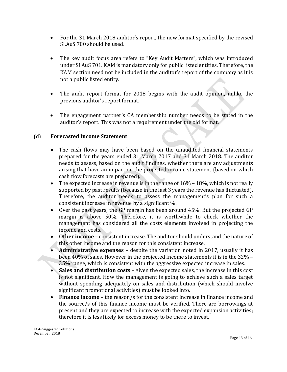- For the 31 March 2018 auditor's report, the new format specified by the revised SLAuS 700 should be used.
- The key audit focus area refers to "Key Audit Matters", which was introduced under SLAuS 701. KAM is mandatory only for public listed entities. Therefore, the KAM section need not be included in the auditor's report of the company as it is not a public listed entity.
- The audit report format for 2018 begins with the audit opinion, unlike the previous auditor's report format.
- The engagement partner's CA membership number needs to be stated in the auditor's report. This was not a requirement under the old format.

# (d) **Forecasted Income Statement**

- The cash flows may have been based on the unaudited financial statements prepared for the years ended 31 March 2017 and 31 March 2018. The auditor needs to assess, based on the audit findings, whether there are any adjustments arising that have an impact on the projected income statement (based on which cash flow forecasts are prepared).
- The expected increase in revenue is in the range of  $16\%$   $18\%$ , which is not really supported by past results (because in the last 3 years the revenue has fluctuated). Therefore, the auditor needs to assess the management's plan for such a consistent increase in revenue by a significant %.
- Over the past years, the GP margin has been around 45%. But the projected GP margin is above 50%. Therefore, it is worthwhile to check whether the management has considered all the costs elements involved in projecting the income and costs.
- **Other income** consistent increase. The auditor should understand the nature of this other income and the reason for this consistent increase.
- **Administrative expenses** despite the variation noted in 2017, usually it has been 40% of sales. However in the projected income statements it is in the 32% – 35% range, which is consistent with the aggressive expected increase in sales.
- **Sales and distribution costs** given the expected sales, the increase in this cost is not significant. How the management is going to achieve such a sales target without spending adequately on sales and distribution (which should involve significant promotional activities) must be looked into.
- **Finance income** the reason/s for the consistent increase in finance income and the source/s of this finance income must be verified. There are borrowings at present and they are expected to increase with the expected expansion activities; therefore it is less likely for excess money to be there to invest.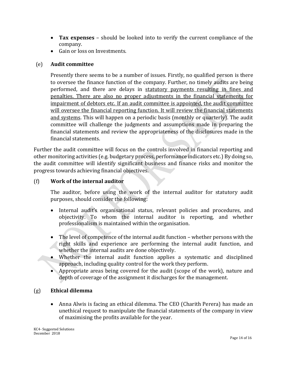- **Tax expenses** should be looked into to verify the current compliance of the company.
- Gain or loss on Investments.

# (e) **Audit committee**

Presently there seems to be a number of issues. Firstly, no qualified person is there to oversee the finance function of the company. Further, no timely audits are being performed, and there are delays in statutory payments resulting in fines and penalties. There are also no proper adjustments in the financial statements for impairment of debtors etc. If an audit committee is appointed, the audit committee will oversee the financial reporting function. It will review the financial statements and systems. This will happen on a periodic basis (monthly or quarterly). The audit committee will challenge the judgments and assumptions made in preparing the financial statements and review the appropriateness of the disclosures made in the financial statements.

Further the audit committee will focus on the controls involved in financial reporting and other monitoring activities (e.g. budgetary process, performance indicators etc.) By doing so, the audit committee will identify significant business and finance risks and monitor the progress towards achieving financial objectives.

# (f) **Work of the internal auditor**

The auditor, before using the work of the internal auditor for statutory audit purposes, should consider the following:

- Internal audit's organisational status, relevant policies and procedures, and objectivity. To whom the internal auditor is reporting, and whether professionalism is maintained within the organisation.
- The level of competence of the internal audit function whether persons with the right skills and experience are performing the internal audit function, and whether the internal audits are done objectively.
- Whether the internal audit function applies a systematic and disciplined approach, including quality control for the work they perform.
- Appropriate areas being covered for the audit (scope of the work), nature and depth of coverage of the assignment it discharges for the management.

# (g) **Ethical dilemma**

 Anna Alwis is facing an ethical dilemma. The CEO (Charith Perera) has made an unethical request to manipulate the financial statements of the company in view of maximising the profits available for the year.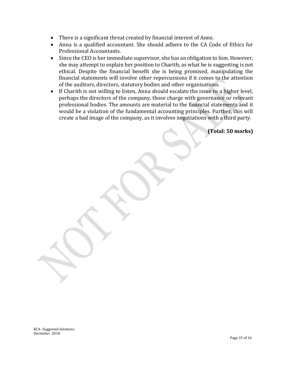- There is a significant threat created by financial interest of Anne.
- Anna is a qualified accountant. She should adhere to the CA Code of Ethics for Professional Accountants.
- Since the CEO is her immediate supervisor, she has an obligation to him. However, she may attempt to explain her position to Charith, as what he is suggesting is not ethical. Despite the financial benefit she is being promised, manipulating the financial statements will involve other repercussions if it comes to the attention of the auditors, directors, statutory bodies and other organisations.
- If Charith is not willing to listen, Anna should escalate the issue to a higher level, perhaps the directors of the company, those charge with governance or relevant professional bodies. The amounts are material to the financial statements and it would be a violation of the fundamental accounting principles. Further, this will create a bad image of the company, as it involves negotiations with a third party.

**(Total: 50 marks)**

KC4- Suggested Solutions December 2018